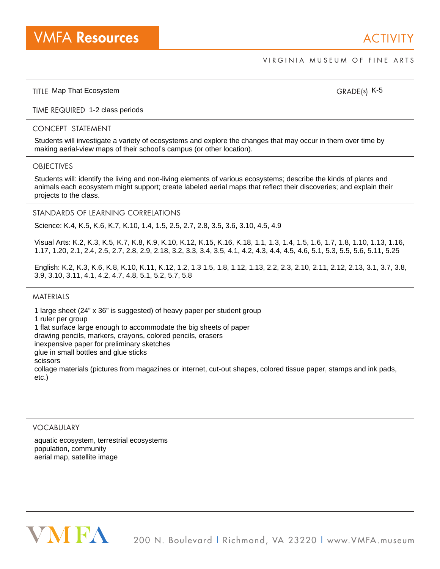### VIRGINIA MUSEUM OF FINE ARTS

# TITLE Map That Ecosystem **K-5** and the set of the set of the set of the set of the GRADE(s) K-5

#### TIME REQUIRED 1-2 class periods

### Concept statement

Students will investigate a variety of ecosystems and explore the changes that may occur in them over time by making aerial-view maps of their school's campus (or other location).

#### **OBJECTIVES**

Students will: identify the living and non-living elements of various ecosystems; describe the kinds of plants and animals each ecosystem might support; create labeled aerial maps that reflect their discoveries; and explain their projects to the class.

### Standards of learning correlations

Science: K.4, K.5, K.6, K.7, K.10, 1.4, 1.5, 2.5, 2.7, 2.8, 3.5, 3.6, 3.10, 4.5, 4.9

Visual Arts: K.2, K.3, K.5, K.7, K.8, K.9, K.10, K.12, K.15, K.16, K.18, 1.1, 1.3, 1.4, 1.5, 1.6, 1.7, 1.8, 1.10, 1.13, 1.16, 1.17, 1.20, 2.1, 2.4, 2.5, 2.7, 2.8, 2.9, 2.18, 3.2, 3.3, 3.4, 3.5, 4.1, 4.2, 4.3, 4.4, 4.5, 4.6, 5.1, 5.3, 5.5, 5.6, 5.11, 5.25

English: K.2, K.3, K.6, K.8, K.10, K.11, K.12, 1.2, 1.3 1.5, 1.8, 1.12, 1.13, 2.2, 2.3, 2.10, 2.11, 2.12, 2.13, 3.1, 3.7, 3.8, 3.9, 3.10, 3.11, 4.1, 4.2, 4.7, 4.8, 5.1, 5.2, 5.7, 5.8

### MATERIALS

1 large sheet (24" x 36" is suggested) of heavy paper per student group

1 ruler per group

1 flat surface large enough to accommodate the big sheets of paper

drawing pencils, markers, crayons, colored pencils, erasers

inexpensive paper for preliminary sketches

glue in small bottles and glue sticks

scissors

collage materials (pictures from magazines or internet, cut-out shapes, colored tissue paper, stamps and ink pads, etc.)

### **VOCABULARY**

aquatic ecosystem, terrestrial ecosystems population, community aerial map, satellite image

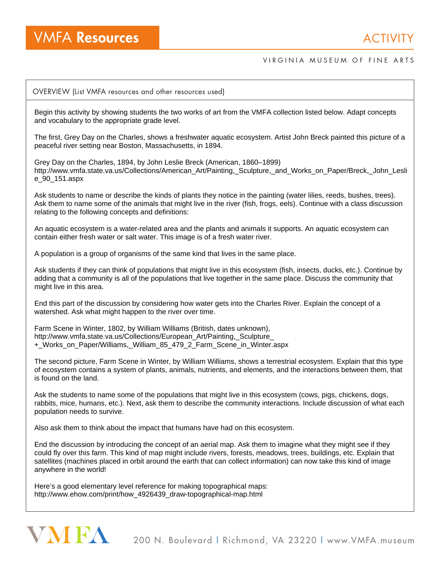## VIRGINIA MUSEUM OF FINE ARTS

#### OVERVIEW (List VMFA resources and other resources used)

Begin this activity by showing students the two works of art from the VMFA collection listed below. Adapt concepts and vocabulary to the appropriate grade level.

The first, Grey Day on the Charles, shows a freshwater aquatic ecosystem. Artist John Breck painted this picture of a peaceful river setting near Boston, Massachusetts, in 1894.

Grey Day on the Charles, 1894, by John Leslie Breck (American, 1860–1899) http://www.vmfa.state.va.us/Collections/American Art/Painting, Sculpture, and Works on Paper/Breck, John Lesli e\_90\_151.aspx

Ask students to name or describe the kinds of plants they notice in the painting (water lilies, reeds, bushes, trees). Ask them to name some of the animals that might live in the river (fish, frogs, eels). Continue with a class discussion relating to the following concepts and definitions:

An aquatic ecosystem is a water-related area and the plants and animals it supports. An aquatic ecosystem can contain either fresh water or salt water. This image is of a fresh water river.

A population is a group of organisms of the same kind that lives in the same place.

Ask students if they can think of populations that might live in this ecosystem (fish, insects, ducks, etc.). Continue by adding that a community is all of the populations that live together in the same place. Discuss the community that might live in this area.

End this part of the discussion by considering how water gets into the Charles River. Explain the concept of a watershed. Ask what might happen to the river over time.

Farm Scene in Winter, 1802, by William Williams (British, dates unknown), http://www.vmfa.state.va.us/Collections/European\_Art/Painting,\_Sculpture +\_Works\_on\_Paper/Williams,\_William\_85\_479\_2\_Farm\_Scene\_in\_Winter.aspx

The second picture, Farm Scene in Winter, by William Williams, shows a terrestrial ecosystem. Explain that this type of ecosystem contains a system of plants, animals, nutrients, and elements, and the interactions between them, that is found on the land.

Ask the students to name some of the populations that might live in this ecosystem (cows, pigs, chickens, dogs, rabbits, mice, humans, etc.). Next, ask them to describe the community interactions. Include discussion of what each population needs to survive.

Also ask them to think about the impact that humans have had on this ecosystem.

End the discussion by introducing the concept of an aerial map. Ask them to imagine what they might see if they could fly over this farm. This kind of map might include rivers, forests, meadows, trees, buildings, etc. Explain that satellites (machines placed in orbit around the earth that can collect information) can now take this kind of image anywhere in the world!

Here's a good elementary level reference for making topographical maps: http://www.ehow.com/print/how\_4926439\_draw-topographical-map.html